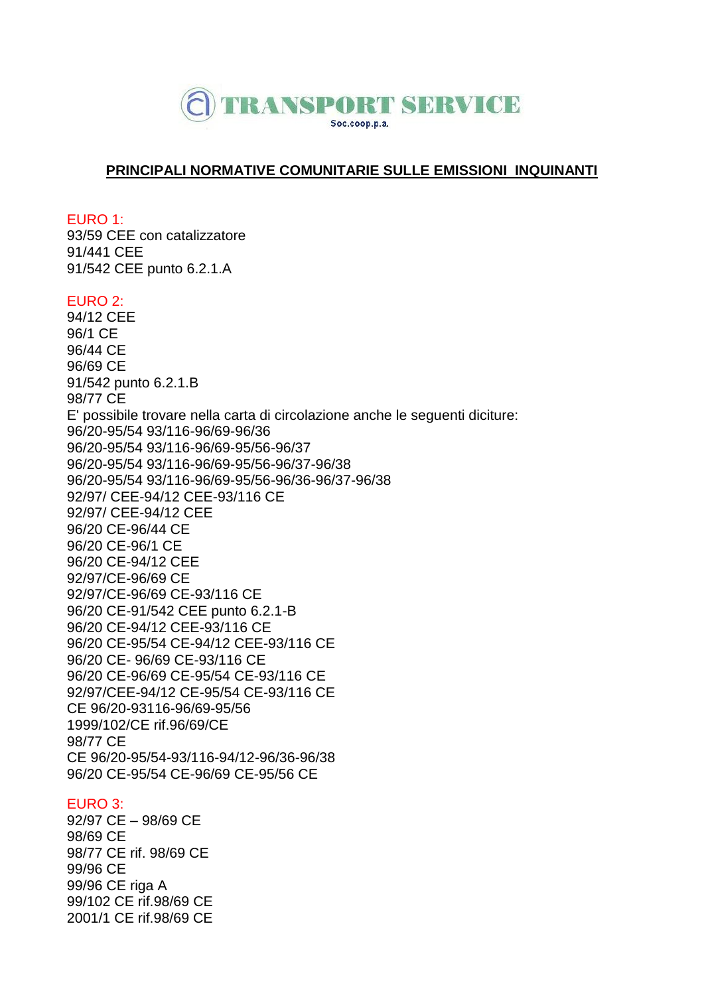

# **PRINCIPALI NORMATIVE COMUNITARIE SULLE EMISSIONI INQUINANTI**

EURO 1:

93/59 CEE con catalizzatore 91/441 CEE 91/542 CEE punto 6.2.1.A

#### EURO 2:

94/12 CEE 96/1 CE 96/44 CE 96/69 CE 91/542 punto 6.2.1.B 98/77 CE E' possibile trovare nella carta di circolazione anche le seguenti diciture: 96/20-95/54 93/116-96/69-96/36 96/20-95/54 93/116-96/69-95/56-96/37 96/20-95/54 93/116-96/69-95/56-96/37-96/38 96/20-95/54 93/116-96/69-95/56-96/36-96/37-96/38 92/97/ CEE-94/12 CEE-93/116 CE 92/97/ CEE-94/12 CEE 96/20 CE-96/44 CE 96/20 CE-96/1 CE 96/20 CE-94/12 CEE 92/97/CE-96/69 CE 92/97/CE-96/69 CE-93/116 CE 96/20 CE-91/542 CEE punto 6.2.1-B 96/20 CE-94/12 CEE-93/116 CE 96/20 CE-95/54 CE-94/12 CEE-93/116 CE 96/20 CE- 96/69 CE-93/116 CE 96/20 CE-96/69 CE-95/54 CE-93/116 CE 92/97/CEE-94/12 CE-95/54 CE-93/116 CE CE 96/20-93116-96/69-95/56 1999/102/CE rif.96/69/CE 98/77 CE CE 96/20-95/54-93/116-94/12-96/36-96/38 96/20 CE-95/54 CE-96/69 CE-95/56 CE

# EURO 3:

92/97 CE – 98/69 CE 98/69 CE 98/77 CE rif. 98/69 CE 99/96 CE 99/96 CE riga A 99/102 CE rif.98/69 CE 2001/1 CE rif.98/69 CE